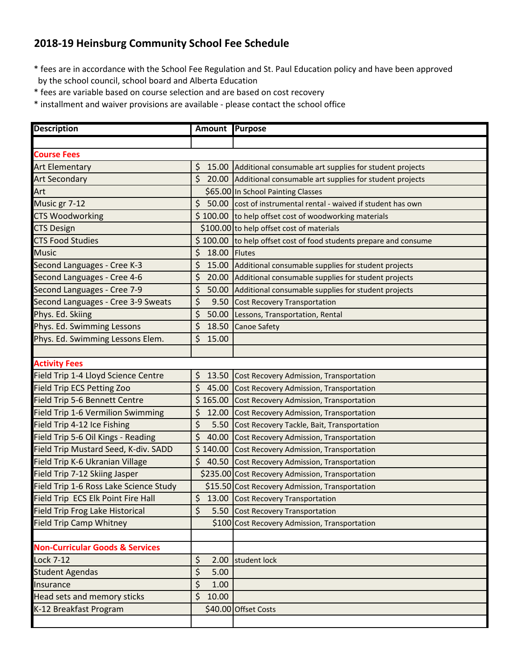## **2018-19 Heinsburg Community School Fee Schedule**

\* fees are in accordance with the School Fee Regulation and St. Paul Education policy and have been approved by the school council, school board and Alberta Education

\* fees are variable based on course selection and are based on cost recovery

\* installment and waiver provisions are available - please contact the school office

| <b>Description</b>                         | Amount Purpose     |                                                                   |
|--------------------------------------------|--------------------|-------------------------------------------------------------------|
|                                            |                    |                                                                   |
| <b>Course Fees</b>                         |                    |                                                                   |
| <b>Art Elementary</b>                      | \$                 | 15.00 Additional consumable art supplies for student projects     |
| <b>Art Secondary</b>                       | \$                 | 20.00 Additional consumable art supplies for student projects     |
| Art                                        |                    | \$65.00 In School Painting Classes                                |
| Music gr 7-12                              | \$                 | 50.00 cost of instrumental rental - waived if student has own     |
| <b>CTS Woodworking</b>                     |                    | \$100.00 to help offset cost of woodworking materials             |
| <b>CTS Design</b>                          |                    | \$100.00 to help offset cost of materials                         |
| <b>CTS Food Studies</b>                    |                    | \$100.00 to help offset cost of food students prepare and consume |
| <b>Music</b>                               | \$<br>18.00 Flutes |                                                                   |
| Second Languages - Cree K-3                | \$                 | 15.00 Additional consumable supplies for student projects         |
| Second Languages - Cree 4-6                | \$                 | 20.00 Additional consumable supplies for student projects         |
| Second Languages - Cree 7-9                | \$                 | 50.00 Additional consumable supplies for student projects         |
| Second Languages - Cree 3-9 Sweats         | \$                 | 9.50 Cost Recovery Transportation                                 |
| Phys. Ed. Skiing                           | \$                 | 50.00 Lessons, Transportation, Rental                             |
| Phys. Ed. Swimming Lessons                 | \$<br>18.50        | <b>Canoe Safety</b>                                               |
| Phys. Ed. Swimming Lessons Elem.           | \$<br>15.00        |                                                                   |
|                                            |                    |                                                                   |
| <b>Activity Fees</b>                       |                    |                                                                   |
| Field Trip 1-4 Lloyd Science Centre        | \$<br>13.50        | Cost Recovery Admission, Transportation                           |
| <b>Field Trip ECS Petting Zoo</b>          | \$                 | 45.00 Cost Recovery Admission, Transportation                     |
| Field Trip 5-6 Bennett Centre              |                    | \$165.00 Cost Recovery Admission, Transportation                  |
| Field Trip 1-6 Vermilion Swimming          | \$<br>12.00        | Cost Recovery Admission, Transportation                           |
| Field Trip 4-12 Ice Fishing                | \$                 | 5.50 Cost Recovery Tackle, Bait, Transportation                   |
| Field Trip 5-6 Oil Kings - Reading         | \$<br>40.00        | Cost Recovery Admission, Transportation                           |
| Field Trip Mustard Seed, K-div. SADD       |                    | \$140.00 Cost Recovery Admission, Transportation                  |
| Field Trip K-6 Ukranian Village            | \$<br>40.50        | Cost Recovery Admission, Transportation                           |
| Field Trip 7-12 Skiing Jasper              |                    | \$235.00 Cost Recovery Admission, Transportation                  |
| Field Trip 1-6 Ross Lake Science Study     |                    | \$15.50 Cost Recovery Admission, Transportation                   |
| Field Trip ECS Elk Point Fire Hall         | $\zeta$            | 13.00 Cost Recovery Transportation                                |
| <b>Field Trip Frog Lake Historical</b>     | \$                 | 5.50 Cost Recovery Transportation                                 |
| <b>Field Trip Camp Whitney</b>             |                    | \$100 Cost Recovery Admission, Transportation                     |
|                                            |                    |                                                                   |
| <b>Non-Curricular Goods &amp; Services</b> |                    |                                                                   |
| <b>Lock 7-12</b>                           | \$<br>2.00         | student lock                                                      |
| <b>Student Agendas</b>                     | \$<br>5.00         |                                                                   |
| Insurance                                  | \$<br>1.00         |                                                                   |
| Head sets and memory sticks                | \$<br>10.00        |                                                                   |
| K-12 Breakfast Program                     |                    | \$40.00 Offset Costs                                              |
|                                            |                    |                                                                   |